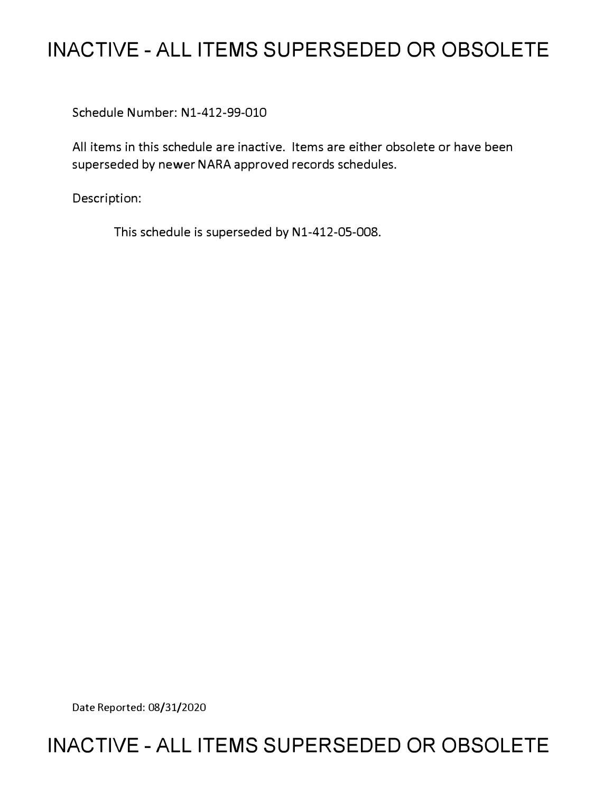# **INACTIVE - ALL ITEMS SUPERSEDED OR OBSOLETE**

Schedule Number: Nl-412-99-010

All items in this schedule are inactive. Items are either obsolete or have been superseded by newer NARA approved records schedules.

Description:

This schedule is superseded by N1-412-05-008.

Date Reported: 08/31/2020

# **INACTIVE - ALL ITEMS SUPERSEDED OR OBSOLETE**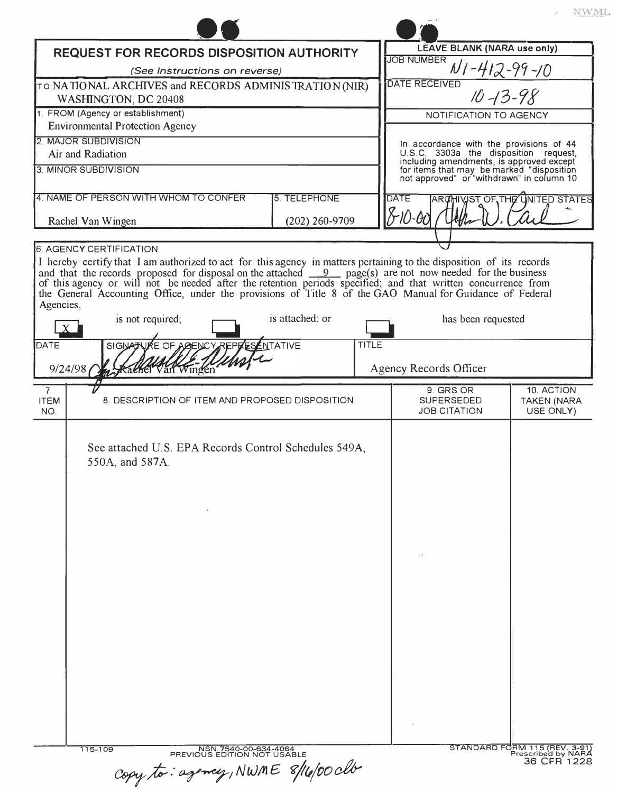|                                                                                                                                                                                                                                                                                                                                                                                                                                                                                        |                         |                                                                                                                                    | V W N                                         |
|----------------------------------------------------------------------------------------------------------------------------------------------------------------------------------------------------------------------------------------------------------------------------------------------------------------------------------------------------------------------------------------------------------------------------------------------------------------------------------------|-------------------------|------------------------------------------------------------------------------------------------------------------------------------|-----------------------------------------------|
| REQUEST FOR RECORDS DISPOSITION AUTHORITY                                                                                                                                                                                                                                                                                                                                                                                                                                              |                         | LEAVE BLANK (NARA use only)                                                                                                        |                                               |
| (See Instructions on reverse)                                                                                                                                                                                                                                                                                                                                                                                                                                                          |                         | <b>JOB NUMBER</b><br>$N1 - 412 - 99 - 10$                                                                                          |                                               |
| TO NATIONAL ARCHIVES and RECORDS ADMINISTRATION (NIR)                                                                                                                                                                                                                                                                                                                                                                                                                                  |                         | <b>DATE RECEIVED</b>                                                                                                               |                                               |
| WASHINGTON, DC 20408                                                                                                                                                                                                                                                                                                                                                                                                                                                                   |                         |                                                                                                                                    | $10 - 13 - 98$                                |
| 1. FROM (Agency or establishment)                                                                                                                                                                                                                                                                                                                                                                                                                                                      |                         | NOTIFICATION TO AGENCY                                                                                                             |                                               |
| <b>Environmental Protection Agency</b><br>2. MAJOR SUBDIVISION                                                                                                                                                                                                                                                                                                                                                                                                                         |                         |                                                                                                                                    |                                               |
| Air and Radiation                                                                                                                                                                                                                                                                                                                                                                                                                                                                      |                         | In accordance with the provisions of 44<br>U.S.C. 3303a the disposition request,                                                   |                                               |
| 3. MINOR SUBDIVISION                                                                                                                                                                                                                                                                                                                                                                                                                                                                   |                         | including amendments, is approved except<br>for items that may be marked "disposition<br>not approved" or "withdrawn" in column 10 |                                               |
| 4. NAME OF PERSON WITH WHOM TO CONFER                                                                                                                                                                                                                                                                                                                                                                                                                                                  | 5. TELEPHONE            | <b>DATE</b>                                                                                                                        | ARCHIVIST OF THE UNITED STATES                |
| Rachel Van Wingen                                                                                                                                                                                                                                                                                                                                                                                                                                                                      | $(202)$ 260-9709        | $810 - 00$                                                                                                                         |                                               |
| 6. AGENCY CERTIFICATION                                                                                                                                                                                                                                                                                                                                                                                                                                                                |                         |                                                                                                                                    |                                               |
| I hereby certify that I am authorized to act for this agency in matters pertaining to the disposition of its records<br>and that the records proposed for disposal on the attached $\frac{9}{2}$ page(s) are not now needed for the business<br>of this agency or will not be needed after the retention periods specified, and that written concurrence from<br>the General Accounting Office, under the provisions of Title 8 of the GAO Manual for Guidance of Federal<br>Agencies, |                         |                                                                                                                                    |                                               |
| is not required;                                                                                                                                                                                                                                                                                                                                                                                                                                                                       | is attached; or         | has been requested                                                                                                                 |                                               |
| SIGNATURE OF AGENCY REPRES<br><b>DATE</b><br>9/24/98<br>Rachel Van Wingen                                                                                                                                                                                                                                                                                                                                                                                                              | NTATIVE<br><b>TITLE</b> | Agency Records Officer                                                                                                             |                                               |
| $\overline{7}$<br><b>ITEM</b><br>8. DESCRIPTION OF ITEM AND PROPOSED DISPOSITION<br>NO.                                                                                                                                                                                                                                                                                                                                                                                                |                         | 9. GRS OR<br><b>SUPERSEDED</b><br><b>JOB CITATION</b>                                                                              | 10. ACTION<br><b>TAKEN (NARA</b><br>USE ONLY) |
| See attached U.S. EPA Records Control Schedules 549A,<br>550A, and 587A.                                                                                                                                                                                                                                                                                                                                                                                                               |                         |                                                                                                                                    |                                               |
|                                                                                                                                                                                                                                                                                                                                                                                                                                                                                        |                         |                                                                                                                                    |                                               |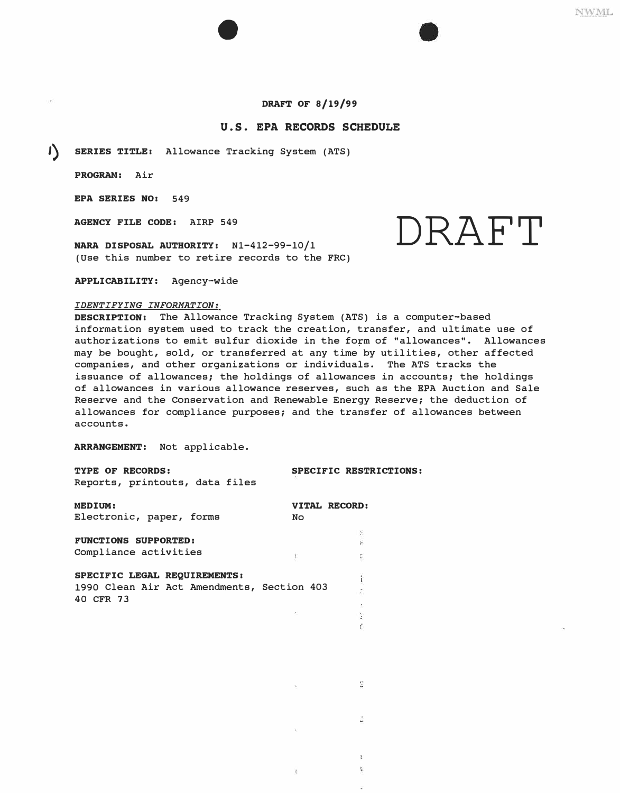# **DRAFT OF 8/19/99**

# **U.S. EPA RECORDS SCHEDULE**

**1) SERIES TITLE:** Allowance Tracking System (ATS)

•

**PROGRAM:** Air

**EPA SERIES NO:** 549

**AGENCY FILE CODE:** AIRP 549

(Use this number to retire records to the FRC)

**APPLICABILITY:** Agency-wide

### *IDENTIFYING INFORMATION:*

**DESCRIPTION:** The Allowance Tracking System (ATS) is a computer-based information system used to track the creation, transfer, and ultimate use of authorizations to emit sulfur dioxide in the form of "allowances". Allowances may be bought, sold, or transferred at any time by utilities, other affected companies, and other organizations or individuals. The ATS tracks the issuance of allowances; the holdings of allowances in accounts; the holdings of allowances in various allowance reserves, such as the EPA Auction and Sale Reserve and the Conservation and Renewable Energy Reserve; the deduction of allowances for compliance purposes; and the transfer of allowances between accounts.

뚱

ł.  $\Gamma$ 

**ARRANGEMENT:** Not applicable.

| TYPE OF RECORDS:<br>Reports, printouts, data files      | SPECIFIC RESTRICTIONS:            |
|---------------------------------------------------------|-----------------------------------|
| <b>MEDIUM:</b><br>Electronic, paper, forms              | <b>VITAL RECORD:</b><br><b>No</b> |
|                                                         |                                   |
| <b>FUNCTIONS SUPPORTED:</b>                             |                                   |
| Compliance activities                                   | E,                                |
| SPECIFIC LEGAL REQUIREMENTS:                            |                                   |
| 1990 Clean Air Act Amendments, Section 403<br>40 CFR 73 |                                   |
|                                                         |                                   |
|                                                         |                                   |
|                                                         |                                   |

**NWML** 

AGENCY FILE CODE: AIRP 549<br>NARA DISPOSAL AUTHORITY: N1-412-99-10/1  $\mathsf{DRAFT}$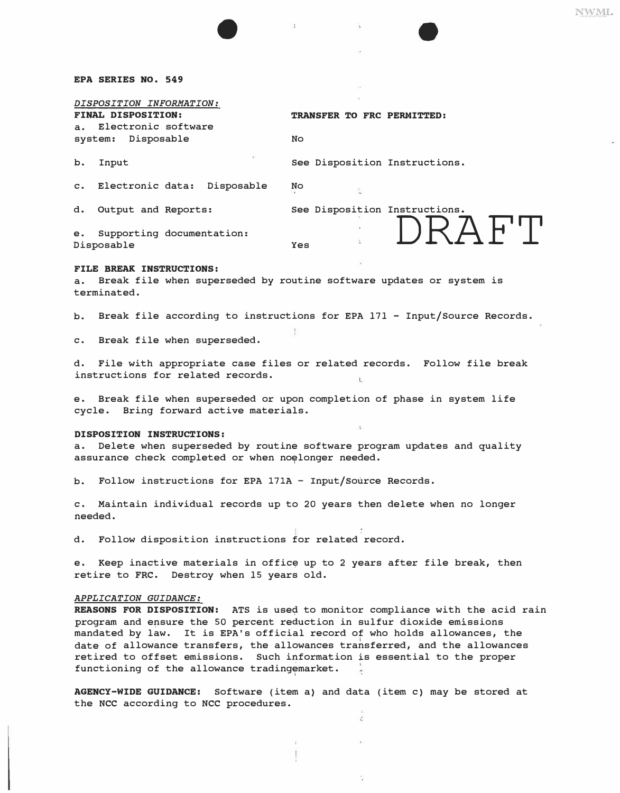#### **EPA SERIES NO. 549**

# *DISPOSITION INFORMATION:*

**a. Electronic software system: Disposable No** 

**b.** Input See Disposition Instructions.

**c. Electronic data: Disposable No** 

•

**d. Output and Reports: See Disposition Instructions. Yes DRAFT**

**TRANSFER TO FRC PERMITTED:** 

 $\mathcal{L}_{\text{eff}}$ 

**Disposable e. Supporting documentation:** 

#### **FILE BREAK INSTRUCTIONS:**

**a. Break file when superseded by routine software updates or system is terminated.** 

**b. Break file according to instructions for EPA 171 - Input/Source Records.** 

**c. Break file when superseded.** 

**d. File with appropriate case files or related records. Follow file break instructions for related records.**  ù.

**e. Break file when superseded or upon completion of phase in system life cycle. Bring forward active materials.** 

#### **DISPOSITION INSTRUCTIONS:**

**a. Delete when superseded by routine software program updates and quality**  assurance check completed or when noelonger needed.

**b. Follow instructions for EPA 171A - Input/source Records.** 

**c. Maintain individual records up to 20 years then delete when no longer needed.** 

**d. Follow disposition instructions for related record.** 

**e.** Keep inactive materials in office up to 2 years after file break, then **retire to FRC. Destroy when 15 years old.** 

#### *APPLICATION GUIDANCE:*

**REASONS FOR DISPOSITION: ATS is use� to monitor compliance with the acid rain program and e�sure the 50 percent reduction in sulfur dioxide emissions mandated by law. It is EPA's official record of who holds allowances, the**  date of allowance transfers, the allowances transferred, and the allowances **retired to offset emissions. Such information is essential to the proper functioning of the allowance tradingemarket.**  1

**AGENCY-WIDE GUIDANCE: Software (item a) and data (item c) may be stored at the NCC according to NCC procedures.** 

ã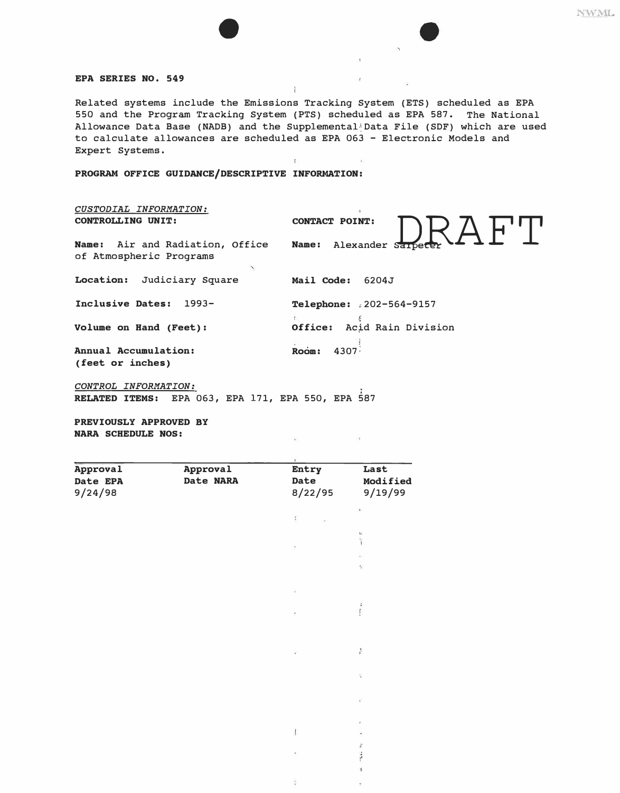## **EPA SERIES NO. 549**

Related systems include the Emissions Tracking System (ETS) scheduled as EPA 550 and the Program Tracking System (PTS) scheduled as EPA 587. The National Allowance Data Base (NADB) and the Supplemental Data File (SDF) which are used to calculate allowances are scheduled as EPA 063 - Electronic Models and Expert Systems.

i

 $\mathbb{R}^n$ 

**PROGRAM OFFICE GUIDANCE/DESCRIPTIVE INFORMATION:** 

 $\bullet$ 

| CUSTODIAL INFORMATION:<br><b>CONTROLLING UNIT:</b> | <b>CONTACT POINT:</b>      |
|----------------------------------------------------|----------------------------|
| Name: Air and Radiation, Office                    | <b>Name:</b>               |
| of Atmospheric Programs                            | Alexander Sarpecer         |
| Location:                                          | Mail Code:                 |
| Judiciary Square                                   | 6204J                      |
| Inclusive Dates:<br>$1993 -$                       | Telephone: 202-564-9157    |
| Volume on Hand (Feet):                             | Office: Acid Rain Division |
| Annual Accumulation:                               | Room:                      |
| (feet or inches)                                   | 4307-                      |

*CONTROL INFORMATION:*  **RELATED ITEMS:** EPA 063, EPA 171, EPA 550, EPA 587

**PREVIOUSLY APPROVED BY NARA SCHEDULE NOS:** 

| Approval | Approval  | Entry          | Last                                 |
|----------|-----------|----------------|--------------------------------------|
| Date EPA | Date NARA | Date           | Modified                             |
| 9/24/98  |           | 8/22/95        | 9/19/99                              |
|          |           |                | $\mathbf{r}$                         |
|          |           | £              |                                      |
|          |           |                | $\frac{1}{2}$                        |
|          |           | $\mathbf{t}_j$ | 誕                                    |
|          |           |                | $\mathcal{G}^{\prime}_{\mathcal{G}}$ |
|          |           |                |                                      |
|          |           | Q,             |                                      |
|          |           |                | ï                                    |
|          |           | ¢              |                                      |
|          |           |                |                                      |
|          |           | ä.             | ř                                    |
|          |           |                |                                      |
|          |           |                | $\frac{d\mu}{d\mu}$                  |
|          |           |                |                                      |
|          |           |                | ¥,                                   |
|          |           |                | $\mathbb{C}$                         |
|          |           |                |                                      |
|          |           |                | ğ,                                   |
|          |           |                | š                                    |

¥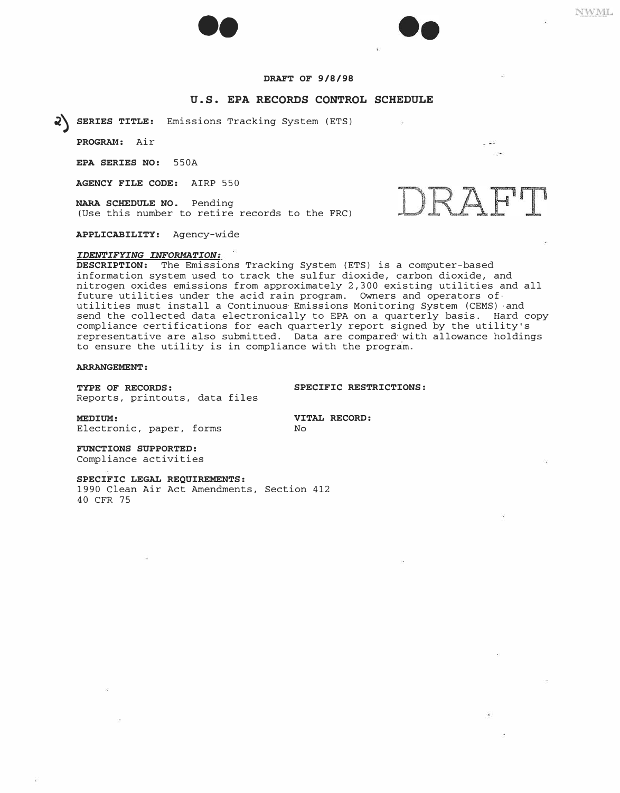

# **DRAFT OF 9/8/98**

## **U.S. EPA RECORDS CONTROL SCHEDULE**

�) **SERIES TITLE:** Emissions Tracking System (ETS)

**PROGRAM:** Air

**EPA SERIES NO:** 550A

**AGENCY FILE CODE:** AIRP 550

**NARA SCHEDULE NO.** Pending (Use this number to retire records to the FRC)

**APPLICABILITY:** Agency-wide

#### *IDENTIFYING INFORMATION:*

**DESCRIPTION:** The Emissions Tracking System (ETS) is a computer-based information system used to track the sulfur dioxide, carbon dioxide, and nitrogen oxides emissions from approximately 2,300 existing utilities and all future utilities under the acid rain program. Owners and operators ofutilities must install a Continuous· Emissions Monitoring System (CEMS) -and send the collected data electronically to EPA on a quarterly basis. Hard copy compliance certifications for each quarterly report signed by the utility's representative are also submitted. Data are compared· with allowance holdings to ensure the utility is in compliance with the program.

**ARRANGEMENT:** 

**TYPE OF RECORDS: SPECIFIC RESTRICTIONS:**  Reports, printouts, data files

**MEDIUM: VITAL RECORD:**<br>Electronic. paper. forms **No** Electronic, paper, forms

**FUNCTIONS SUPPORTED:**  Compliance activities

**SPECIFIC LEGAL REQUIREMENTS:**

1990 Clean Air Act Amendments, Section 412 40 CFR 75

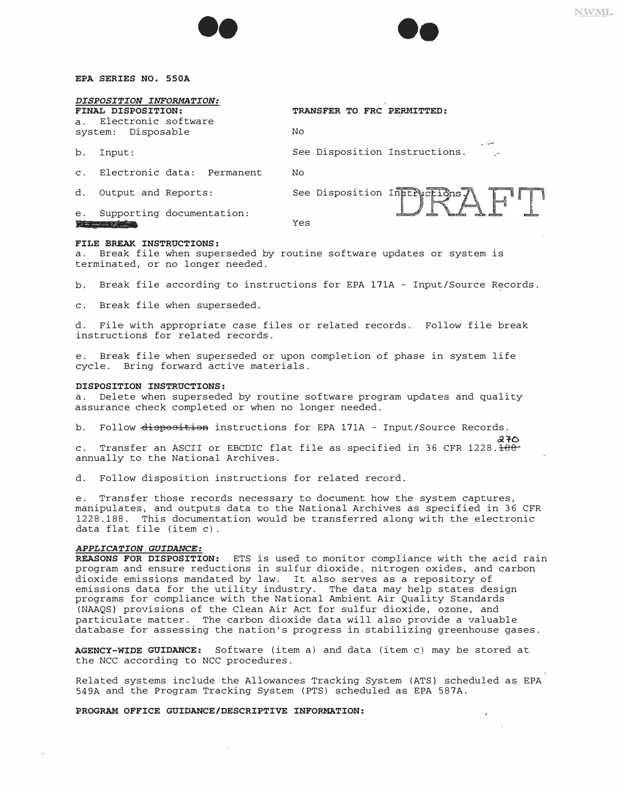



#### **EPA SERIES NO. SS0A**

| a <sub>x</sub> | DISPOSITION INFORMATION:<br>FINAL DISPOSITION:<br>Electronic software | TRANSFER TO FRC PERMITTED:    |
|----------------|-----------------------------------------------------------------------|-------------------------------|
| system:        | Disposable                                                            | No                            |
| b.             | Input:                                                                | See Disposition Instructions. |
| $\mathbf{C}$ . | Electronic data: Permanent                                            | No                            |
| d.             | Output and Reports:                                                   | See Disposition Instructions. |
| е.             | Supporting documentation:                                             | Yes                           |

#### **FILE BREAK INSTRUCTIONS:**

a. Break file when superseded by routine software updates or system is terminated, or no longer needed.

b. Break file according to instructions for EPA 171A - Input/Source Records.

c. Break file when superseded.

d. File with appropriate case files or related records. Follow file break instructions for related records.

e. Break file when superseded or upon completion of phase in system life cycle. Bring forward active materials.

#### **DISPOSITION INSTRUCTIONS:**

a. Delete when superseded by routine software program updates and quality assurance check completed or when no longer needed.

# b. Follow disposition instructions for EPA 171A - Input/Source Records.<br>270

 $270$ c. Transfer an ASCII or EBCDIC flat file as specified in 36 CFR 1228.<del>188</del> annually to the National Archives.

d. Follow disposition instructions for related record.

e. Transfer those records necessary to document how the system captures, manipulates, and outputs data to the National Archives as specified in 36 CFR 1228. 188. This documentation would be transferred along with the electronic data flat file (item c) .

### *APPLICATION.GUIDANCE:*

**REASONS FOR DISPOSITION:** ETS is used to monitor compliance with the acid rain program and ensure reductions in sulfur dioxide, nitrogen oxides, and carbon dioxide emissions mandated by law. It also serves as a repository of emissions data for the utility industry. The data may help states design programs for compliance with the National Ambient Air Quality Standards (NAAQS) provisions of the Clean Air Act for sulfur dioxide, ozone, and particulate matter. The carbon dioxide data will also provide a valuable database for assessing the nation's progress in stabilizing greenhouse gases.

**AGENCY-WIDE GUIDANCE:** Software (item a) and data (item c) may be stored at the NCC according to NCC procedures.

Related systems include the Allowances Tracking System (ATS) scheduled as EPA 549A and the Program Tracking System (PTS) scheduled as EPA 587A.

**PROGRAM OFFICE GUIDANCE/DESCRIPTIVE INFORMATION:**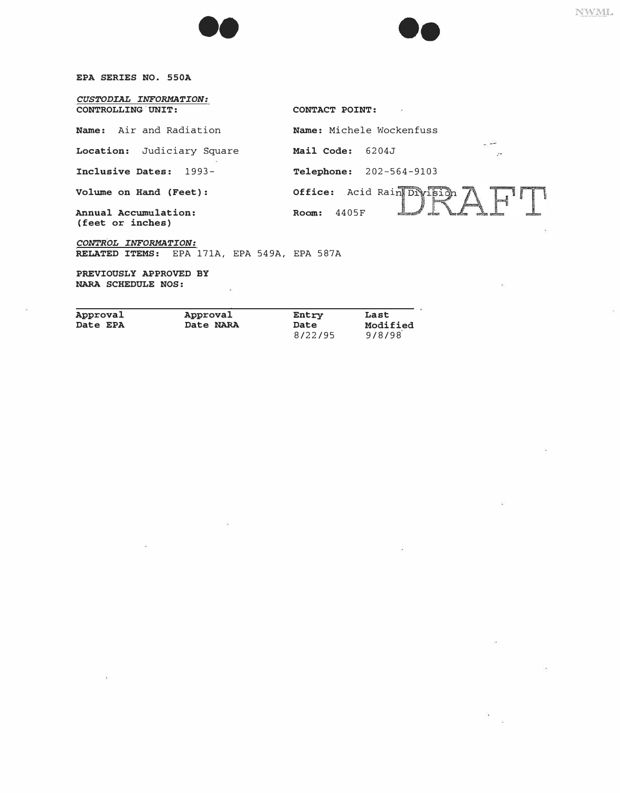**EPA SERIES NO. 550A** 

*CUSTODIAL INFORMATION:*  **CONTROLLING UNIT: CONTACT POINT:** 

| Name: Air and Radiation                  | Name: Michele Wockenfuss                        |
|------------------------------------------|-------------------------------------------------|
| Location: Judiciary Square               | Mail Code:<br>6204J<br>$\overline{\mathcal{C}}$ |
| Inclusive Dates: 1993-                   | <b>Telephone:</b> 202-564-9103                  |
| Volume on Hand (Feet):                   | Acid Rain Division<br>Office:                   |
| Annual Accumulation:<br>(feet or inches) | 4405F<br>Room:                                  |
| CONTROL INFORMATION:                     |                                                 |

**RELATED ITEMS:** EPA 171A, EPA 549A, EPA 587A

••

**NARA SCHEDULE NOS: PREVIOUSLY APPROVED BY** 

- 2 **Approval Approval Entry Last Date NARA Date Modifier Modifier**<br>8/22/95 9/8/98 8/22/95

 $\mathbb{R}^2$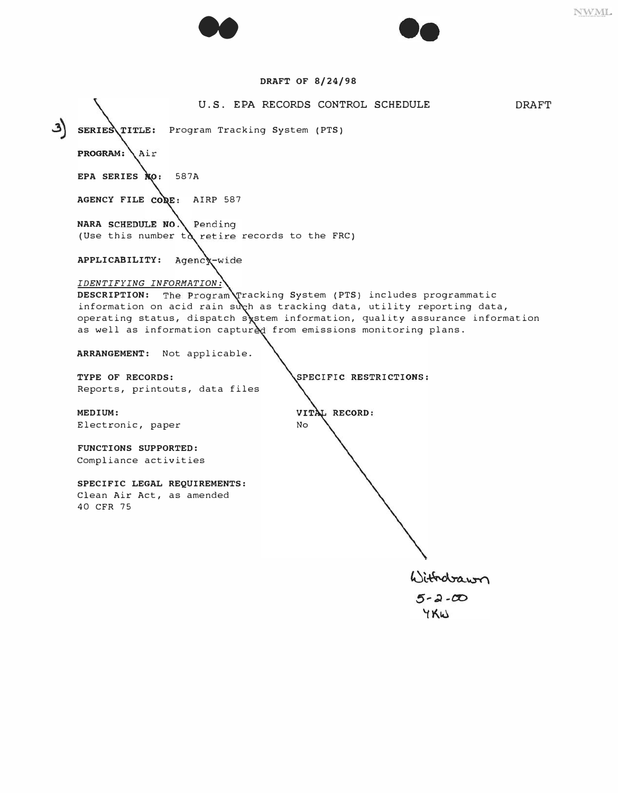



## **DRAFT OF 8/24/98**

**U.S. EPA RECORDS CONTROL SCHEDULE DRAFT SERIES TITLE:** Program Tracking System (PTS) PROGRAM: Air EPA SERIES **NO:** 587A **AGENCY FILE AIRP 587 NARA SCHEDULE NO. Pending** (Use this number to retire records to the FRC) **APPLICABILITY:**  *IDENTIFYING INFORMATION:*  **DESCRIPTION:** The Program Tracking System (PTS) includes programmatic information on acid rain such as tracking data, utility reporting data, operating status, dispatch sostem information, quality assurance information as well as information captured from emissions monitoring plans. **ARRANGEMENT: Not applicable.**  SPECIFIC RESTRICTIONS: **TYPE OF RECORDS: Reports, printouts, data files**  VITAL RECORD: **MEDIUM: Electronic, paper**  No **FUNCTIONS SUPPORTED: Compliance activities SPECIFIC LEGAL REQUIREMENTS: Clean Air Act, as amended 40 CFR 75** Withdrawn  $5 - 2 - 00$ YKW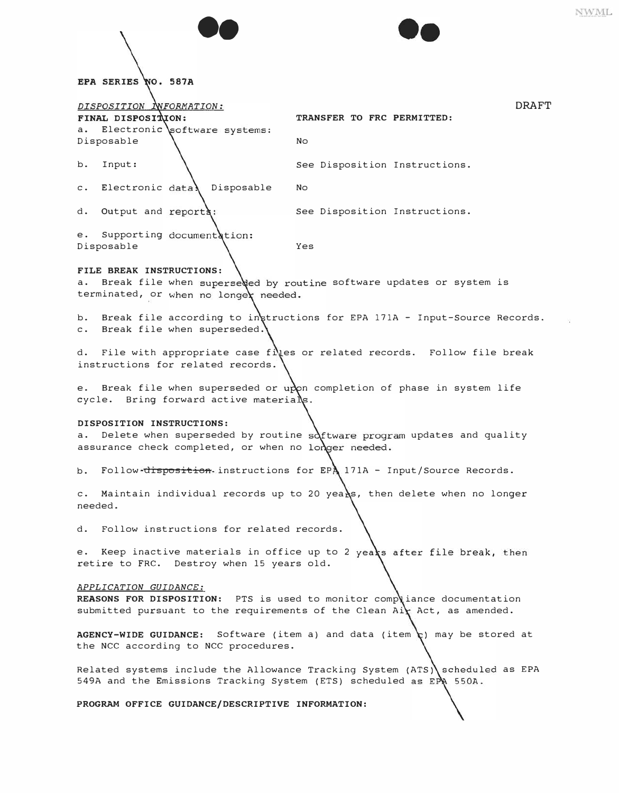|                                                                                         |                                                                              | NWML |
|-----------------------------------------------------------------------------------------|------------------------------------------------------------------------------|------|
|                                                                                         |                                                                              |      |
|                                                                                         |                                                                              |      |
| EPA SERIES NO. 587A                                                                     |                                                                              |      |
| DISPOSITION INFORMATION:<br>FINAL DISPOSITION:                                          | <b>DRAFT</b><br>TRANSFER TO FRC PERMITTED:                                   |      |
| Electronic software systems:<br>а.                                                      |                                                                              |      |
| Disposable                                                                              | No.                                                                          |      |
| Input:<br>b.                                                                            | See Disposition Instructions.                                                |      |
| Electronic data\<br>Disposable<br>$\mathsf{c}$ .                                        | No.                                                                          |      |
| Output and reports:<br>d.                                                               | See Disposition Instructions.                                                |      |
| Supporting documentation:<br>е.<br>Disposable                                           | Yes                                                                          |      |
| FILE BREAK INSTRUCTIONS:                                                                |                                                                              |      |
| а.<br>terminated, or when no longer needed.                                             | Break file when superseded by routine software updates or system is          |      |
| b.<br>Break file when superseded.<br>$\mathsf{c}$ .                                     | Break file according to intructions for EPA 171A - Input-Source Records.     |      |
| d.<br>instructions for related records.                                                 | File with appropriate case files or related records. Follow file break       |      |
| е.<br>cycle. Bring forward active materials.                                            | Break file when superseded or upon completion of phase in system life        |      |
| DISPOSITION INSTRUCTIONS:<br>а.<br>assurance check completed, or when no longer needed. | Delete when superseded by routine $s^{i}$ tware program updates and quality  |      |
| b.                                                                                      | Follow disposition instructions for EPA 171A - Input/Source Records.         |      |
| $\sim$ .<br>needed.                                                                     | Maintain individual records up to 20 years, then delete when no longer       |      |
| Follow instructions for related records.<br>d.                                          |                                                                              |      |
| retire to FRC. Destroy when 15 years old.                                               | e. Keep inactive materials in office up to 2 years after file break, then    |      |
| APPLICATION GUIDANCE:                                                                   | REASONS FOR DISPOSITION: PTS is used to monitor compliance documentation     |      |
|                                                                                         | submitted pursuant to the requirements of the Clean Air Act, as amended.     |      |
| the NCC according to NCC procedures.                                                    | AGENCY-WIDE GUIDANCE: Software (item a) and data (item t) may be stored at   |      |
| 549A and the Emissions Tracking System (ETS) scheduled as $EPR$ 550A.                   | Related systems include the Allowance Tracking System (ATS) scheduled as EPA |      |
| PROGRAM OFFICE GUIDANCE/DESCRIPTIVE INFORMATION:                                        |                                                                              |      |